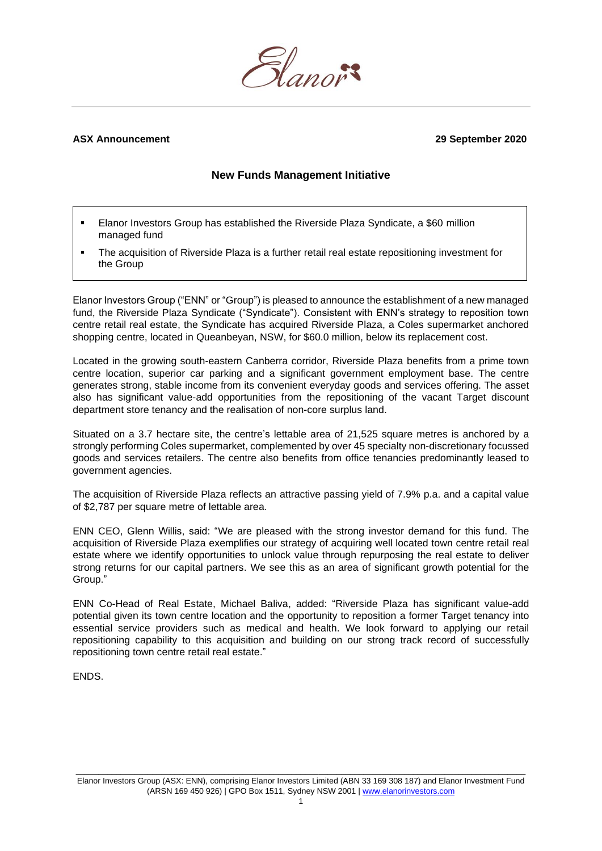

# **ASX Announcement 29 September 2020**

# **New Funds Management Initiative**

- Elanor Investors Group has established the Riverside Plaza Syndicate, a \$60 million managed fund
- The acquisition of Riverside Plaza is a further retail real estate repositioning investment for the Group

Elanor Investors Group ("ENN" or "Group") is pleased to announce the establishment of a new managed fund, the Riverside Plaza Syndicate ("Syndicate"). Consistent with ENN's strategy to reposition town centre retail real estate, the Syndicate has acquired Riverside Plaza, a Coles supermarket anchored shopping centre, located in Queanbeyan, NSW, for \$60.0 million, below its replacement cost.

Located in the growing south-eastern Canberra corridor, Riverside Plaza benefits from a prime town centre location, superior car parking and a significant government employment base. The centre generates strong, stable income from its convenient everyday goods and services offering. The asset also has significant value-add opportunities from the repositioning of the vacant Target discount department store tenancy and the realisation of non-core surplus land.

Situated on a 3.7 hectare site, the centre's lettable area of 21,525 square metres is anchored by a strongly performing Coles supermarket, complemented by over 45 specialty non-discretionary focussed goods and services retailers. The centre also benefits from office tenancies predominantly leased to government agencies.

The acquisition of Riverside Plaza reflects an attractive passing yield of 7.9% p.a. and a capital value of \$2,787 per square metre of lettable area.

ENN CEO, Glenn Willis, said: "We are pleased with the strong investor demand for this fund. The acquisition of Riverside Plaza exemplifies our strategy of acquiring well located town centre retail real estate where we identify opportunities to unlock value through repurposing the real estate to deliver strong returns for our capital partners. We see this as an area of significant growth potential for the Group."

ENN Co-Head of Real Estate, Michael Baliva, added: "Riverside Plaza has significant value-add potential given its town centre location and the opportunity to reposition a former Target tenancy into essential service providers such as medical and health. We look forward to applying our retail repositioning capability to this acquisition and building on our strong track record of successfully repositioning town centre retail real estate."

ENDS.